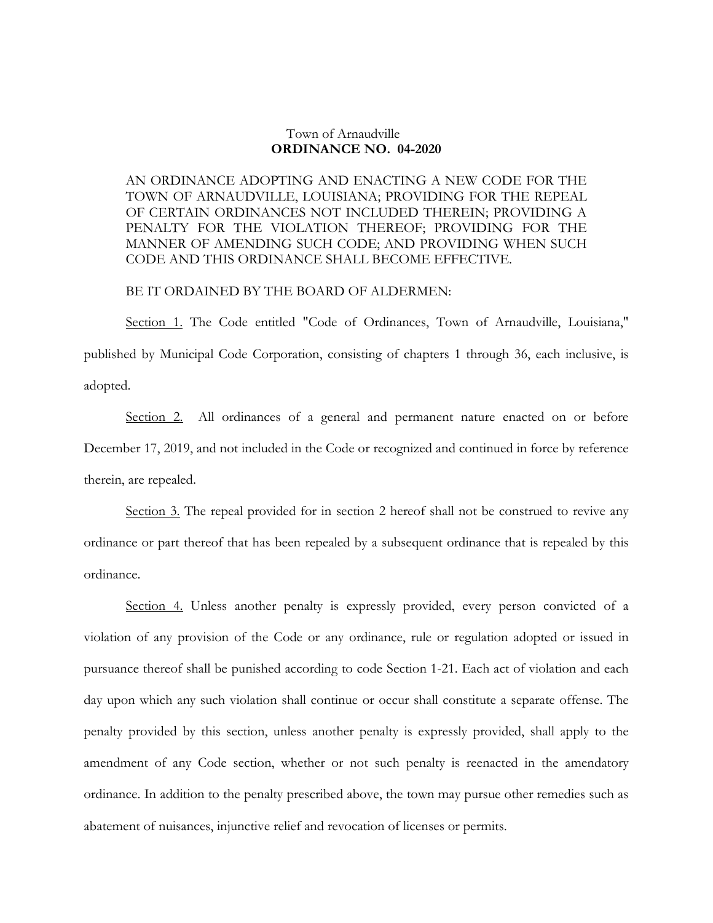## Town of Arnaudville **ORDINANCE NO. 04-2020**

AN ORDINANCE ADOPTING AND ENACTING A NEW CODE FOR THE TOWN OF ARNAUDVILLE, LOUISIANA; PROVIDING FOR THE REPEAL OF CERTAIN ORDINANCES NOT INCLUDED THEREIN; PROVIDING A PENALTY FOR THE VIOLATION THEREOF; PROVIDING FOR THE MANNER OF AMENDING SUCH CODE; AND PROVIDING WHEN SUCH CODE AND THIS ORDINANCE SHALL BECOME EFFECTIVE.

## BE IT ORDAINED BY THE BOARD OF ALDERMEN:

Section 1. The Code entitled "Code of Ordinances, Town of Arnaudville, Louisiana," published by Municipal Code Corporation, consisting of chapters 1 through 36, each inclusive, is adopted.

Section 2. All ordinances of a general and permanent nature enacted on or before December 17, 2019, and not included in the Code or recognized and continued in force by reference therein, are repealed.

Section 3. The repeal provided for in section 2 hereof shall not be construed to revive any ordinance or part thereof that has been repealed by a subsequent ordinance that is repealed by this ordinance.

Section 4. Unless another penalty is expressly provided, every person convicted of a violation of any provision of the Code or any ordinance, rule or regulation adopted or issued in pursuance thereof shall be punished according to code Section 1-21. Each act of violation and each day upon which any such violation shall continue or occur shall constitute a separate offense. The penalty provided by this section, unless another penalty is expressly provided, shall apply to the amendment of any Code section, whether or not such penalty is reenacted in the amendatory ordinance. In addition to the penalty prescribed above, the town may pursue other remedies such as abatement of nuisances, injunctive relief and revocation of licenses or permits.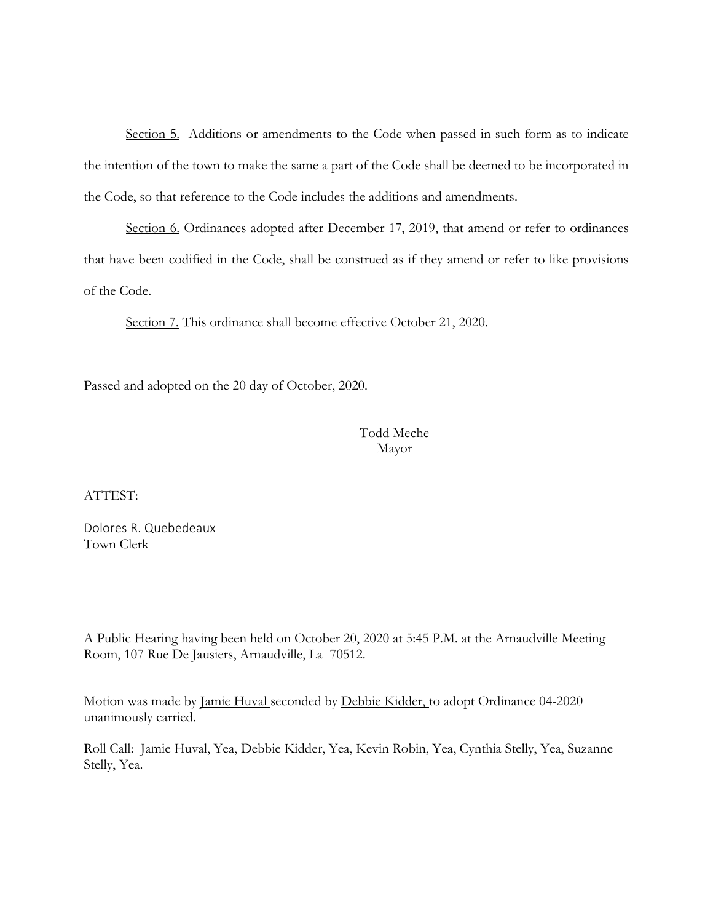Section 5. Additions or amendments to the Code when passed in such form as to indicate the intention of the town to make the same a part of the Code shall be deemed to be incorporated in the Code, so that reference to the Code includes the additions and amendments.

Section 6. Ordinances adopted after December 17, 2019, that amend or refer to ordinances that have been codified in the Code, shall be construed as if they amend or refer to like provisions of the Code.

Section 7. This ordinance shall become effective October 21, 2020.

Passed and adopted on the 20 day of October, 2020.

 Todd Meche Mayor

ATTEST:

Dolores R. Quebedeaux Town Clerk

A Public Hearing having been held on October 20, 2020 at 5:45 P.M. at the Arnaudville Meeting Room, 107 Rue De Jausiers, Arnaudville, La 70512.

Motion was made by Jamie Huval seconded by Debbie Kidder, to adopt Ordinance 04-2020 unanimously carried.

Roll Call: Jamie Huval, Yea, Debbie Kidder, Yea, Kevin Robin, Yea, Cynthia Stelly, Yea, Suzanne Stelly, Yea.